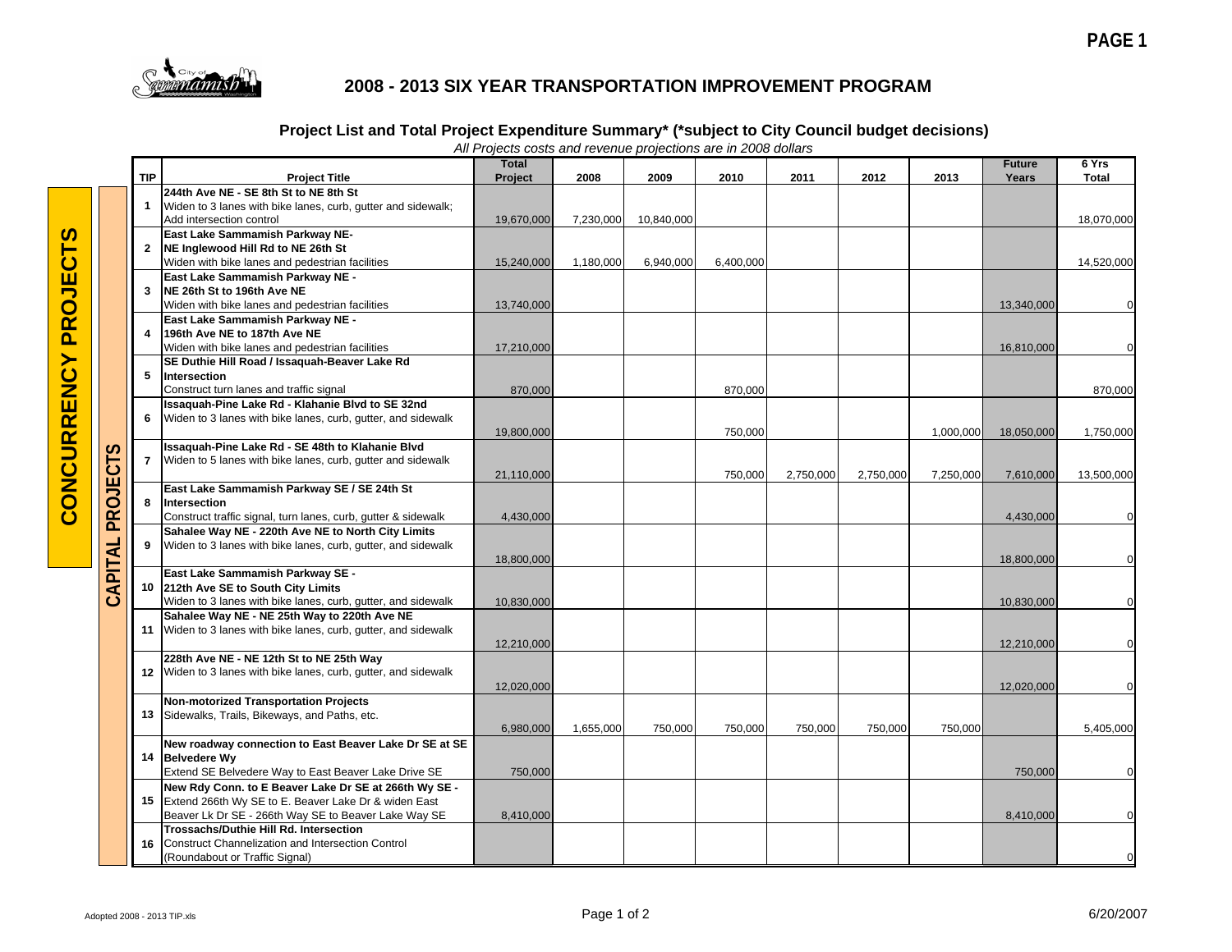

## **2008 - 2013 SIX YEAR TRANSPORTATION IMPROVEMENT PROGRAM**

## **Project List and Total Project Expenditure Summary\* (\*subject to City Council budget decisions)**

|                 | <b>TIP</b>     | <b>Project Title</b>                                                                | All Frojects costs and revenue projections are in 2006 dollars<br><b>Total</b><br>Project | 2008      | 2009       | 2010      | 2011      | 2012      | 2013      | <b>Future</b><br>Years | 6 Yrs<br><b>Total</b> |
|-----------------|----------------|-------------------------------------------------------------------------------------|-------------------------------------------------------------------------------------------|-----------|------------|-----------|-----------|-----------|-----------|------------------------|-----------------------|
|                 |                | 244th Ave NE - SE 8th St to NE 8th St                                               |                                                                                           |           |            |           |           |           |           |                        |                       |
|                 |                | Widen to 3 lanes with bike lanes, curb, gutter and sidewalk;                        |                                                                                           |           |            |           |           |           |           |                        |                       |
|                 |                | Add intersection control                                                            | 19,670,000                                                                                | 7.230.000 | 10.840.000 |           |           |           |           |                        | 18,070,000            |
|                 |                | East Lake Sammamish Parkway NE-                                                     |                                                                                           |           |            |           |           |           |           |                        |                       |
|                 | $\overline{2}$ | NE Inglewood Hill Rd to NE 26th St                                                  |                                                                                           |           |            |           |           |           |           |                        |                       |
|                 |                | Widen with bike lanes and pedestrian facilities                                     | 15,240,000                                                                                | 1,180,000 | 6,940,000  | 6,400,000 |           |           |           |                        | 14,520,000            |
|                 |                | East Lake Sammamish Parkway NE -                                                    |                                                                                           |           |            |           |           |           |           |                        |                       |
|                 | 3              | NE 26th St to 196th Ave NE                                                          |                                                                                           |           |            |           |           |           |           |                        |                       |
|                 |                | Widen with bike lanes and pedestrian facilities                                     | 13,740,000                                                                                |           |            |           |           |           |           | 13,340,000             | 0                     |
|                 |                | East Lake Sammamish Parkway NE -                                                    |                                                                                           |           |            |           |           |           |           |                        |                       |
|                 | 4              | 196th Ave NE to 187th Ave NE                                                        |                                                                                           |           |            |           |           |           |           |                        |                       |
|                 |                | Widen with bike lanes and pedestrian facilities                                     | 17,210,000                                                                                |           |            |           |           |           |           | 16,810,000             | $\mathbf 0$           |
|                 |                | SE Duthie Hill Road / Issaquah-Beaver Lake Rd                                       |                                                                                           |           |            |           |           |           |           |                        |                       |
|                 | 5              | Intersection                                                                        |                                                                                           |           |            |           |           |           |           |                        |                       |
|                 |                | Construct turn lanes and traffic signal                                             | 870,000                                                                                   |           |            | 870,000   |           |           |           |                        | 870,000               |
|                 |                | Issaquah-Pine Lake Rd - Klahanie Blvd to SE 32nd                                    |                                                                                           |           |            |           |           |           |           |                        |                       |
|                 | 6              | Widen to 3 lanes with bike lanes, curb, gutter, and sidewalk                        |                                                                                           |           |            |           |           |           |           |                        |                       |
|                 |                |                                                                                     | 19,800,000                                                                                |           |            | 750,000   |           |           | 1,000,000 | 18,050,000             | 1,750,000             |
|                 |                | Issaquah-Pine Lake Rd - SE 48th to Klahanie Blvd                                    |                                                                                           |           |            |           |           |           |           |                        |                       |
|                 | $\overline{7}$ | Widen to 5 lanes with bike lanes, curb, gutter and sidewalk                         |                                                                                           |           |            |           |           |           |           |                        |                       |
|                 |                |                                                                                     | 21,110,000                                                                                |           |            | 750,000   | 2,750,000 | 2,750,000 | 7,250,000 | 7,610,000              | 13,500,000            |
| <b>PROJECTS</b> |                | East Lake Sammamish Parkway SE / SE 24th St                                         |                                                                                           |           |            |           |           |           |           |                        |                       |
|                 | 8              | Intersection                                                                        |                                                                                           |           |            |           |           |           |           |                        |                       |
|                 |                | Construct traffic signal, turn lanes, curb, gutter & sidewalk                       | 4,430,000                                                                                 |           |            |           |           |           |           | 4,430,000              | $\mathbf 0$           |
|                 | 9              | Sahalee Way NE - 220th Ave NE to North City Limits                                  |                                                                                           |           |            |           |           |           |           |                        |                       |
|                 |                | Widen to 3 lanes with bike lanes, curb, gutter, and sidewalk                        |                                                                                           |           |            |           |           |           |           |                        |                       |
|                 |                |                                                                                     | 18,800,000                                                                                |           |            |           |           |           |           | 18,800,000             | $\Omega$              |
| CAPITAL         |                | East Lake Sammamish Parkway SE -                                                    |                                                                                           |           |            |           |           |           |           |                        |                       |
|                 |                | 10 212th Ave SE to South City Limits                                                |                                                                                           |           |            |           |           |           |           |                        |                       |
|                 |                | Widen to 3 lanes with bike lanes, curb, gutter, and sidewalk                        | 10,830,000                                                                                |           |            |           |           |           |           | 10,830,000             | $\mathbf 0$           |
|                 |                | Sahalee Way NE - NE 25th Way to 220th Ave NE                                        |                                                                                           |           |            |           |           |           |           |                        |                       |
|                 | 11             | Widen to 3 lanes with bike lanes, curb, gutter, and sidewalk                        |                                                                                           |           |            |           |           |           |           |                        |                       |
|                 |                |                                                                                     | 12,210,000                                                                                |           |            |           |           |           |           | 12,210,000             | $\Omega$              |
|                 |                | 228th Ave NE - NE 12th St to NE 25th Way                                            |                                                                                           |           |            |           |           |           |           |                        |                       |
|                 |                | 12 Widen to 3 lanes with bike lanes, curb, gutter, and sidewalk                     |                                                                                           |           |            |           |           |           |           |                        |                       |
|                 |                |                                                                                     | 12,020,000                                                                                |           |            |           |           |           |           | 12,020,000             | $\Omega$              |
|                 |                | <b>Non-motorized Transportation Projects</b>                                        |                                                                                           |           |            |           |           |           |           |                        |                       |
|                 |                | 13 Sidewalks, Trails, Bikeways, and Paths, etc.                                     |                                                                                           |           |            |           |           |           |           |                        |                       |
|                 |                |                                                                                     | 6,980,000                                                                                 | 1,655,000 | 750,000    | 750,000   | 750,000   | 750,000   | 750,000   |                        | 5,405,000             |
|                 |                | New roadway connection to East Beaver Lake Dr SE at SE                              |                                                                                           |           |            |           |           |           |           |                        |                       |
|                 |                | 14 Belvedere Wy                                                                     |                                                                                           |           |            |           |           |           |           |                        |                       |
|                 |                | Extend SE Belvedere Way to East Beaver Lake Drive SE                                | 750,000                                                                                   |           |            |           |           |           |           | 750,000                | $\mathbf 0$           |
|                 | 15             | New Rdy Conn. to E Beaver Lake Dr SE at 266th Wy SE -                               |                                                                                           |           |            |           |           |           |           |                        |                       |
|                 |                | Extend 266th Wy SE to E. Beaver Lake Dr & widen East                                |                                                                                           |           |            |           |           |           |           |                        |                       |
|                 |                | Beaver Lk Dr SE - 266th Way SE to Beaver Lake Way SE                                | 8,410,000                                                                                 |           |            |           |           |           |           | 8,410,000              | $\Omega$              |
|                 |                | <b>Trossachs/Duthie Hill Rd. Intersection</b>                                       |                                                                                           |           |            |           |           |           |           |                        |                       |
|                 | 16             | Construct Channelization and Intersection Control<br>(Roundabout or Traffic Signal) |                                                                                           |           |            |           |           |           |           |                        | $\Omega$              |
|                 |                |                                                                                     |                                                                                           |           |            |           |           |           |           |                        |                       |

## *All Projects costs and revenue projections are in 2008 dollars*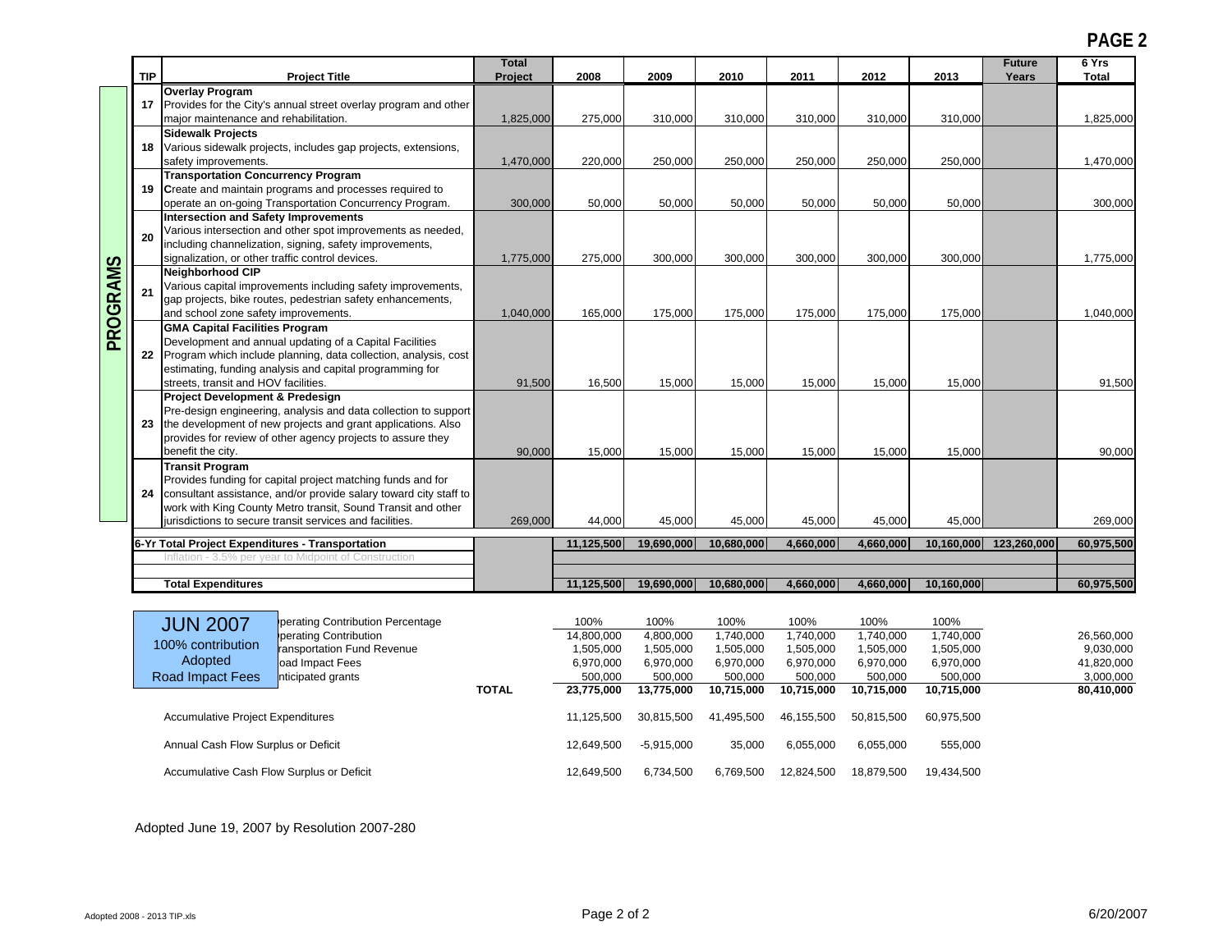**PAGE 2**

|                                          |                                                  |                                                                                                                      | <b>Total</b> |                        |                        |                        |                        |                        |                        | <b>Future</b>          | 6 Yrs                   |
|------------------------------------------|--------------------------------------------------|----------------------------------------------------------------------------------------------------------------------|--------------|------------------------|------------------------|------------------------|------------------------|------------------------|------------------------|------------------------|-------------------------|
|                                          | <b>TIP</b>                                       | <b>Project Title</b>                                                                                                 | Project      | 2008                   | 2009                   | 2010                   | 2011                   | 2012                   | 2013                   | Years                  | <b>Total</b>            |
|                                          |                                                  | <b>Overlay Program</b>                                                                                               |              |                        |                        |                        |                        |                        |                        |                        |                         |
|                                          |                                                  | 17 Provides for the City's annual street overlay program and other                                                   |              |                        |                        |                        |                        |                        |                        |                        |                         |
|                                          |                                                  | major maintenance and rehabilitation.                                                                                | 1,825,000    | 275,000                | 310,000                | 310,000                | 310,000                | 310,000                | 310,000                |                        | 1,825,000               |
|                                          |                                                  | <b>Sidewalk Projects</b>                                                                                             |              |                        |                        |                        |                        |                        |                        |                        |                         |
|                                          |                                                  | 18 Various sidewalk projects, includes gap projects, extensions,                                                     |              |                        |                        |                        |                        |                        |                        |                        |                         |
|                                          |                                                  | safety improvements.                                                                                                 | 1,470,000    | 220,000                | 250,000                | 250,000                | 250,000                | 250,000                | 250,000                |                        | 1,470,000               |
|                                          |                                                  | <b>Transportation Concurrency Program</b>                                                                            |              |                        |                        |                        |                        |                        |                        |                        |                         |
|                                          |                                                  | 19 Create and maintain programs and processes required to<br>operate an on-going Transportation Concurrency Program. | 300,000      | 50,000                 | 50,000                 | 50,000                 | 50,000                 | 50,000                 | 50,000                 |                        | 300,000                 |
|                                          |                                                  | <b>Intersection and Safety Improvements</b>                                                                          |              |                        |                        |                        |                        |                        |                        |                        |                         |
|                                          |                                                  | Various intersection and other spot improvements as needed,                                                          |              |                        |                        |                        |                        |                        |                        |                        |                         |
|                                          | 20                                               | including channelization, signing, safety improvements,                                                              |              |                        |                        |                        |                        |                        |                        |                        |                         |
|                                          |                                                  | signalization, or other traffic control devices.                                                                     | 1,775,000    | 275,000                | 300,000                | 300,000                | 300,000                | 300,000                | 300,000                |                        | 1,775,000               |
|                                          |                                                  | Neighborhood CIP                                                                                                     |              |                        |                        |                        |                        |                        |                        |                        |                         |
|                                          | 21                                               | Various capital improvements including safety improvements,                                                          |              |                        |                        |                        |                        |                        |                        |                        |                         |
| PROGRAMS                                 |                                                  | gap projects, bike routes, pedestrian safety enhancements,                                                           |              |                        |                        |                        |                        |                        |                        |                        |                         |
|                                          |                                                  | and school zone safety improvements.                                                                                 | 1,040,000    | 165,000                | 175,000                | 175,000                | 175,000                | 175,000                | 175,000                |                        | 1,040,000               |
|                                          |                                                  | <b>GMA Capital Facilities Program</b><br>Development and annual updating of a Capital Facilities                     |              |                        |                        |                        |                        |                        |                        |                        |                         |
|                                          |                                                  | 22 Program which include planning, data collection, analysis, cost                                                   |              |                        |                        |                        |                        |                        |                        |                        |                         |
|                                          |                                                  | estimating, funding analysis and capital programming for                                                             |              |                        |                        |                        |                        |                        |                        |                        |                         |
|                                          |                                                  | streets, transit and HOV facilities.                                                                                 | 91,500       | 16,500                 | 15,000                 | 15,000                 | 15,000                 | 15,000                 | 15,000                 |                        | 91,500                  |
|                                          |                                                  | Project Development & Predesign                                                                                      |              |                        |                        |                        |                        |                        |                        |                        |                         |
|                                          |                                                  | Pre-design engineering, analysis and data collection to support                                                      |              |                        |                        |                        |                        |                        |                        |                        |                         |
|                                          |                                                  | 23 the development of new projects and grant applications. Also                                                      |              |                        |                        |                        |                        |                        |                        |                        |                         |
|                                          |                                                  | provides for review of other agency projects to assure they<br>benefit the city.                                     |              |                        |                        |                        |                        |                        |                        |                        | 90,000                  |
|                                          |                                                  | <b>Transit Program</b>                                                                                               | 90,000       | 15,000                 | 15,000                 | 15,000                 | 15,000                 | 15,000                 | 15,000                 |                        |                         |
|                                          |                                                  | Provides funding for capital project matching funds and for                                                          |              |                        |                        |                        |                        |                        |                        |                        |                         |
|                                          | 24                                               | consultant assistance, and/or provide salary toward city staff to                                                    |              |                        |                        |                        |                        |                        |                        |                        |                         |
|                                          |                                                  | work with King County Metro transit, Sound Transit and other                                                         |              |                        |                        |                        |                        |                        |                        |                        |                         |
|                                          |                                                  | jurisdictions to secure transit services and facilities.                                                             | 269,000      | 44,000                 | 45,000                 | 45,000                 | 45,000                 | 45,000                 | 45,000                 |                        | 269,000                 |
|                                          | 6-Yr Total Project Expenditures - Transportation |                                                                                                                      |              | 11,125,500             | 19,690,000             | 10,680,000             | 4,660,000              | 4,660,000              |                        | 10,160,000 123,260,000 | 60,975,500              |
|                                          |                                                  | Inflation - 3.5% per year to Midpoint of Construction                                                                |              |                        |                        |                        |                        |                        |                        |                        |                         |
|                                          |                                                  |                                                                                                                      |              |                        |                        |                        |                        |                        |                        |                        |                         |
|                                          |                                                  | <b>Total Expenditures</b>                                                                                            |              | 11,125,500             | 19,690,000             | 10,680,000             | 4,660,000              | 4,660,000              | 10,160,000             |                        | 60,975,500              |
|                                          |                                                  |                                                                                                                      |              |                        |                        |                        |                        |                        |                        |                        |                         |
|                                          |                                                  | perating Contribution Percentage<br><b>JUN 2007</b>                                                                  |              | 100%                   | 100%                   | 100%                   | 100%                   | 100%                   | 100%                   |                        |                         |
|                                          |                                                  | perating Contribution<br>100% contribution<br>ransportation Fund Revenue                                             |              | 14,800,000             | 4,800,000              | 1,740,000              | 1,740,000              | 1,740,000              | 1.740.000              |                        | 26.560.000<br>9.030.000 |
|                                          |                                                  | Adopted<br>oad Impact Fees                                                                                           |              | 1,505,000<br>6,970,000 | 1,505,000<br>6,970,000 | 1,505,000<br>6,970,000 | 1,505,000<br>6,970,000 | 1,505,000<br>6,970,000 | 1,505,000<br>6,970,000 |                        | 41,820,000              |
|                                          |                                                  | nticipated grants<br>Road Impact Fees                                                                                |              | 500,000                | 500,000                | 500,000                | 500,000                | 500,000                | 500,000                |                        | 3,000,000               |
|                                          |                                                  |                                                                                                                      | <b>TOTAL</b> | 23,775,000             | 13,775,000             | 10,715,000             | 10,715,000             | 10,715,000             | 10,715,000             |                        | 80,410,000              |
|                                          |                                                  |                                                                                                                      |              |                        |                        |                        |                        |                        |                        |                        |                         |
| <b>Accumulative Project Expenditures</b> |                                                  |                                                                                                                      |              | 11,125,500             | 30,815,500             | 41,495,500             | 46,155,500             | 50,815,500             | 60,975,500             |                        |                         |

Annual Cash Flow Surplus or Deficit 12,649,500 12,649,500 -5,915,000 35,000 6,055,000 6,055,000 6,055,000 6,055,000 Accumulative Cash Flow Surplus or Deficit 12,649,500 12,649,500 6,734,500 6,734,500 12,824,500 18,879,500 19,434,500

Adopted June 19, 2007 by Resolution 2007-280